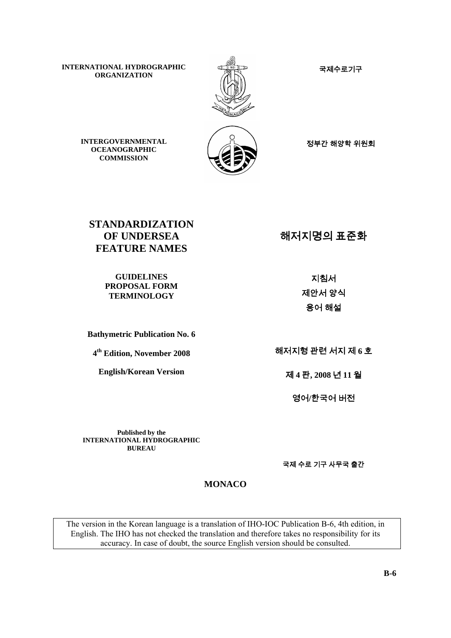국제수로기구

**INTERNATIONAL HYDROGRAPHIC ORGANIZATION** 



정부간 해양학 위원회

**INTERGOVERNMENTAL OCEANOGRAPHIC COMMISSION** 

**STANDARDIZATION OF UNDERSEA FEATURE NAMES** 

> **GUIDELINES PROPOSAL FORM TERMINOLOGY**

**Bathymetric Publication No. 6**

**4th Edition, November 2008**

**English/Korean Version**

해저지명의 표준화

지침서 제안서 양식 용어 해설

해저지형 관련 서지 제 **6** 호

제 **4** 판**, 2008** 년 **11** 월

영어**/**한국어 버전

**Published by the INTERNATIONAL HYDROGRAPHIC BUREAU**

국제 수로 기구 사무국 출간

**MONACO** 

The version in the Korean language is a translation of IHO-IOC Publication B-6, 4th edition, in English. The IHO has not checked the translation and therefore takes no responsibility for its accuracy. In case of doubt, the source English version should be consulted.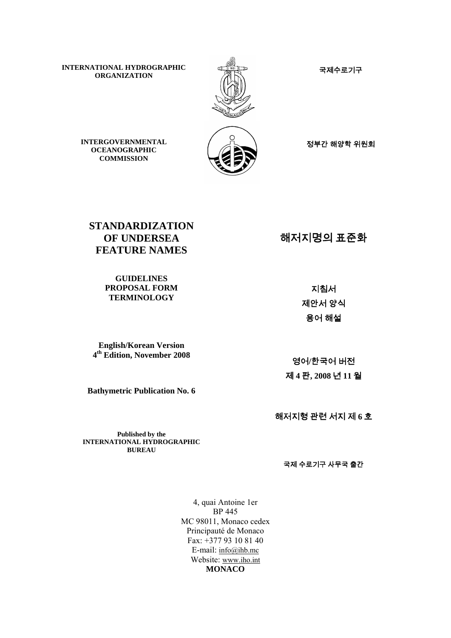**INTERNATIONAL HYDROGRAPHIC ORGANIZATION ATTONAL HYDROGRAPHIC**<br>
ORGANIZATION MEX



정부간 해양학 위원회

**INTERGOVERNMENTAL OCEANOGRAPHIC COMMISSION** 

**STANDARDIZATION OF UNDERSEA FEATURE NAMES** 

> **GUIDELINES PROPOSAL FORM TERMINOLOGY**

**English/Korean Version 4th Edition, November 2008**

**Bathymetric Publication No. 6**

해저지명의 표준화

지침서 제안서 양식 용어 해설

영어**/**한국어 버전 제 **4** 판**, 2008** 년 **11** 월

해저지형 관련 서지 제 **6** 호

**Published by the INTERNATIONAL HYDROGRAPHIC BUREAU**

국제 수로기구 사무국 출간

4, quai Antoine 1er BP 445 MC 98011, Monaco cedex Principauté de Monaco Fax: +377 93 10 81 40 E-mail: [info@ihb.mc](mailto:info@ihb.mc) Website: [www.iho.int](http://www.iho.int/) **MONACO**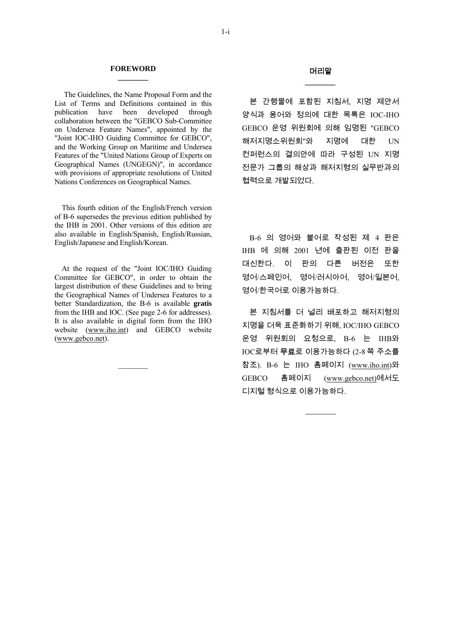#### **FOREWORD \_\_\_\_\_\_\_\_**

The Guidelines, the Name Proposal Form and the List of Terms and Definitions contained in this publication have been developed through collaboration between the "GEBCO Sub-Committee on Undersea Feature Names", appointed by the "Joint IOC-IHO Guiding Committee for GEBCO", and the Working Group on Maritime and Undersea Features of the "United Nations Group of Experts on Geographical Names (UNGEGN)", in accordance with provisions of appropriate resolutions of United Nations Conferences on Geographical Names.

 This fourth edition of the English/French version of B-6 supersedes the previous edition published by the IHB in 2001. Other versions of this edition are also available in English/Spanish, English/Russian, English/Japanese and English/Korean.

 At the request of the "Joint IOC/IHO Guiding Committee for GEBCO", in order to obtain the largest distribution of these Guidelines and to bring the Geographical Names of Undersea Features to a better Standardization, the B-6 is available **gratis** from the IHB and IOC. (See page 2-6 for addresses). It is also available in digital form from the IHO website [\(www.iho.int](http://www.iho.int/)) and GEBCO website [\(www.gebco.net](http://www.gebco.net/)).

 $\mathcal{L}=\mathcal{L}$ 

### 머리말 *\_\_\_\_\_\_\_\_*

본 간행물에 포함된 지침서, 지명 제안서 양식과 용어와 정의에 대한 목록은 IOC-IHO GEBCO 운영 위원회에 의해 임명된 "GEBCO 해저지명소위원회"와 지명에 대한 UN 컨퍼런스의 결의안에 따라 구성된 UN 지명 전문가 그룹의 해상과 해저지형의 실무반과의 협력으로 개발되었다.

B-6 의 영어와 불어로 작성된 제 4 판은 IHB 에 의해 2001 년에 출판된 이전 판을 대신한다. 이 판의 다른 버전은 또한 영어/스페인어, 영어/러시아어, 영어/일본어, 영어/한국어로 이용가능하다.

본 지침서를 더 널리 배포하고 해저지형의 지명을 더욱 표준화하기 위해, IOC/IHO GEBCO 운영 위원회의 요청으로, B-6 는 IHB와 IOC로부터 무료로 이용가능하다 (2-8 쪽 주소를 참조). B-6 는 IHO 홈페이지 [\(www.iho.int\)](http://www.iho.int/)와 GEBCO 홈페이지 [\(www.gebco.net\)](http://www.gebco.net)/)에서도 디지털 형식으로 이용가능하다.

*\_\_\_\_\_\_\_\_*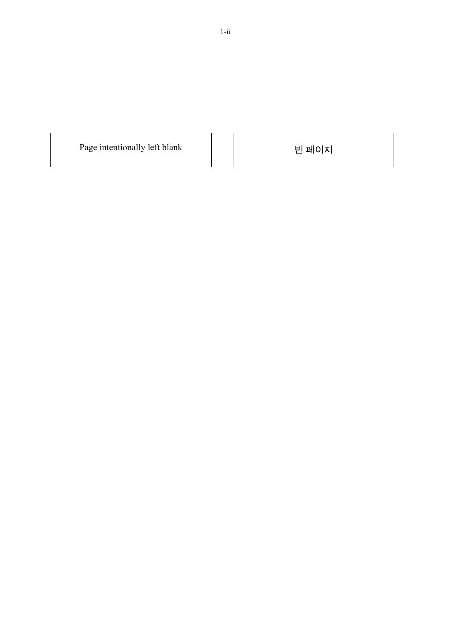Page intentionally left blank 빈 페이지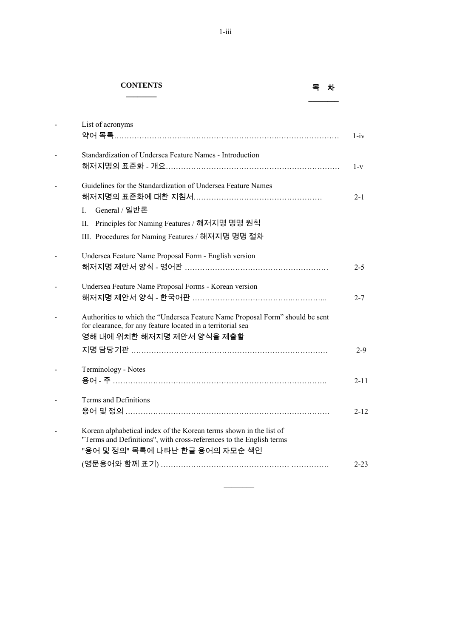### **CONTENTS**

# **\_\_\_\_\_\_\_\_** <sup>목</sup><sup>차</sup>

| List of acronyms                                                                                                                                                                                       | $1 - iv$ |
|--------------------------------------------------------------------------------------------------------------------------------------------------------------------------------------------------------|----------|
| Standardization of Undersea Feature Names - Introduction                                                                                                                                               | $1-v$    |
| Guidelines for the Standardization of Undersea Feature Names<br>General / 일반론<br>$\mathbf{I}$<br>Principles for Naming Features / 해저지명 명명 원칙<br>Н.<br>III. Procedures for Naming Features / 해저지명 명명 절차 | $2 - 1$  |
| Undersea Feature Name Proposal Form - English version                                                                                                                                                  | $2 - 5$  |
| Undersea Feature Name Proposal Forms - Korean version                                                                                                                                                  | $2 - 7$  |
| Authorities to which the "Undersea Feature Name Proposal Form" should be sent<br>for clearance, for any feature located in a territorial sea<br>영해 내에 위치한 해저지명 제안서 양식을 제출할                             | $2-9$    |
| Terminology - Notes                                                                                                                                                                                    | $2 - 11$ |
| Terms and Definitions                                                                                                                                                                                  | $2 - 12$ |
| Korean alphabetical index of the Korean terms shown in the list of<br>"Terms and Definitions", with cross-references to the English terms<br>"용어 및 정의" 목록에 나타난 한글 용어의 자모순 색인                           | $2 - 23$ |

 $\frac{1}{2}$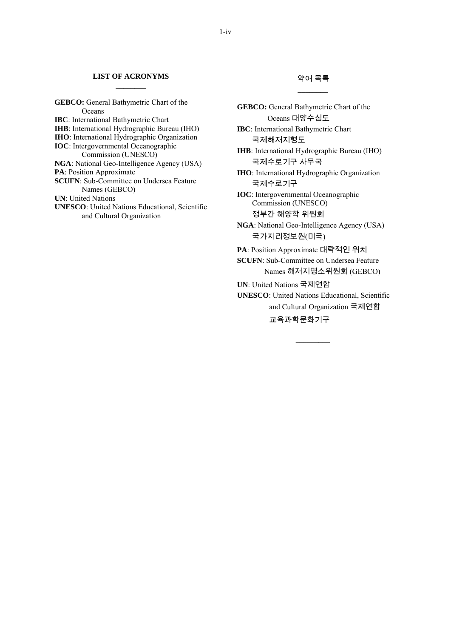#### **LIST OF ACRONYMS \_\_\_\_\_\_\_\_**

**GEBCO:** General Bathymetric Chart of the **Oceans IBC**: International Bathymetric Chart **IHB**: International Hydrographic Bureau (IHO) **IHO**: International Hydrographic Organization **IOC**: Intergovernmental Oceanographic Commission (UNESCO) **NGA**: National Geo-Intelligence Agency (USA) **PA**: Position Approximate **SCUFN**: Sub-Committee on Undersea Feature Names (GEBCO) **UN**: United Nations **UNESCO**: United Nations Educational, Scientific and Cultural Organization

 $\mathcal{L}=\mathcal{L}$ 

### 약어 목록 *\_\_\_\_\_\_\_\_*

**GEBCO:** General Bathymetric Chart of the Oceans 대양수심도 **IBC**: International Bathymetric Chart 국제해저지형도 **IHB**: International Hydrographic Bureau (IHO) 국제수로기구 사무국 **IHO**: International Hydrographic Organization 국제수로기구 **IOC**: Intergovernmental Oceanographic Commission (UNESCO) 정부간 해양학 위원회 **NGA**: National Geo-Intelligence Agency (USA) 국가지리정보원(미국) **PA**: Position Approximate 대략적인 위치 **SCUFN**: Sub-Committee on Undersea Feature Names 해저지명소위원회 (GEBCO) **UN**: United Nations 국제연합 **UNESCO**: United Nations Educational, Scientific and Cultural Organization 국제연합 교육과학문화기구

*\_\_\_\_\_\_\_\_\_*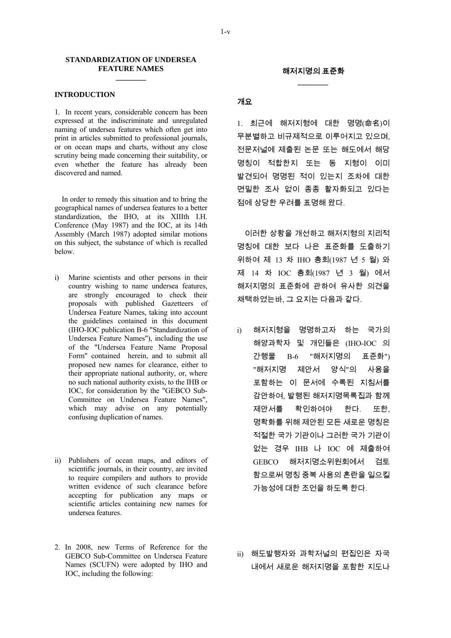#### **STANDARDIZATION OF UNDERSEA FEATURE NAMES \_\_\_\_\_\_\_\_**

#### **INTRODUCTION**

1. In recent years, considerable concern has been expressed at the indiscriminate and unregulated naming of undersea features which often get into print in articles submitted to professional journals, or on ocean maps and charts, without any close scrutiny being made concerning their suitability, or even whether the feature has already been discovered and named.

 In order to remedy this situation and to bring the geographical names of undersea features to a better standardization, the IHO, at its XIIIth I.H. Conference (May 1987) and the IOC, at its 14th Assembly (March 1987) adopted similar motions on this subject, the substance of which is recalled below.

- i) Marine scientists and other persons in their country wishing to name undersea features, are strongly encouraged to check their proposals with published Gazetteers of Undersea Feature Names, taking into account the guidelines contained in this document (IHO-IOC publication B-6 "Standardization of Undersea Feature Names"), including the use of the "Undersea Feature Name Proposal Form" contained herein, and to submit all proposed new names for clearance, either to their appropriate national authority, or, where no such national authority exists, to the IHB or IOC, for consideration by the "GEBCO Sub-Committee on Undersea Feature Names", which may advise on any potentially confusing duplication of names.
- ii) Publishers of ocean maps, and editors of scientific journals, in their country, are invited to require compilers and authors to provide written evidence of such clearance before accepting for publication any maps or scientific articles containing new names for undersea features.
- 2. In 2008, new Terms of Reference for the GEBCO Sub-Committee on Undersea Feature Names (SCUFN) were adopted by IHO and IOC, including the following:

### 개요

1. 최근에 해저지형에 대한 명명(命名)이 무분별하고 비규제적으로 이루어지고 있으며, 전문저널에 제출된 논문 또는 해도에서 해당 명칭이 적합한지 또는 동 지형이 이미 발견되어 명명된 적이 있는지 조차에 대한 면밀한 조사 없이 종종 활자화되고 있다는 점에 상당한 우려를 표명해 왔다.

이러한 상황을 개선하고 해저지형의 지리적 명칭에 대한 보다 나은 표준화를 도출하기 위하여 제 13 차 IHO 총회(1987 년 5 월) 와 제 14 차 IOC 총회(1987 년 3 월) 에서 해저지명의 표준화에 관하여 유사한 의견을 채택하였는바, 그 요지는 다음과 같다.

- i) 해저지형을 명명하고자 하는 국가의 해양과학자 및 개인들은 (IHO-IOC 의 간행물 B-6 "해저지명의 표준화") "해저지명 제안서 양식"의 사용을 포함하는 이 문서에 수록된 지침서를 감안하여, 발행된 해저지명목록집과 함께 제안서를 확인하여야 한다. 또한, 명확화를 위해 제안된 모든 새로운 명칭은 적절한 국가 기관이나 그러한 국가 기관이 없는 경우 IHB 나 IOC 에 제출하여 GEBCO 해저지명소위원회에서 검토 함으로써 명칭 중복 사용의 혼란을 일으킬 가능성에 대한 조언을 하도록 한다.
- ii) 해도발행자와 과학저널의 편집인은 자국 내에서 새로운 해저지명을 포함한 지도나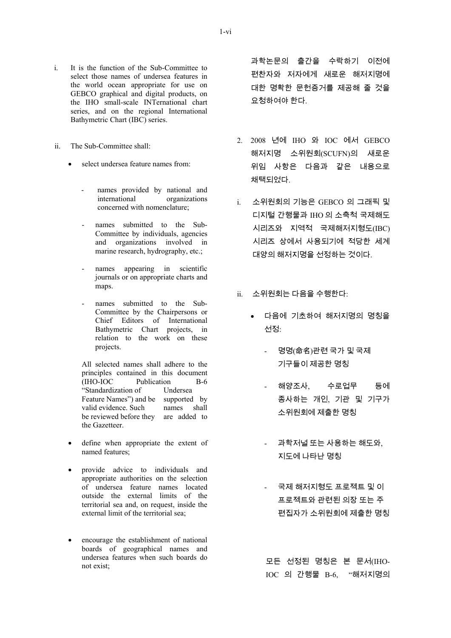- i. It is the function of the Sub-Committee to select those names of undersea features in the world ocean appropriate for use on GEBCO graphical and digital products, on the IHO small-scale INTernational chart series, and on the regional International Bathymetric Chart (IBC) series.
- ii. The Sub-Committee shall:
	- select undersea feature names from:
		- names provided by national and international organizations concerned with nomenclature;
		- names submitted to the Sub-Committee by individuals, agencies and organizations involved in marine research, hydrography, etc.;
		- names appearing in scientific journals or on appropriate charts and maps.
		- names submitted to the Sub-Committee by the Chairpersons or Chief Editors of International Bathymetric Chart projects, in relation to the work on these projects.

 All selected names shall adhere to the principles contained in this document<br>(IHO-IOC Publication B-6 Publication B-6 "Standardization of Undersea Feature Names") and be supported by valid evidence. Such names shall be reviewed before they are added to the Gazetteer.

- define when appropriate the extent of named features;
- provide advice to individuals and appropriate authorities on the selection of undersea feature names located outside the external limits of the territorial sea and, on request, inside the external limit of the territorial sea;
- encourage the establishment of national boards of geographical names and undersea features when such boards do not exist;

과학논문의 출간을 수락하기 이전에 편찬자와 저자에게 새로운 해저지명에 대한 명확한 문헌증거를 제공해 줄 것을 요청하여야 한다.

- 2. 2008 년에 IHO 와 IOC 에서 GEBCO 해저지명 소위원회(SCUFN)의 새로운 위임 사항은 다음과 같은 내용으로 채택되었다.
- i. 소위원회의 기능은 GEBCO 의 그래픽 및 디지털 간행물과 IHO 의 소축척 국제해도 시리즈와 지역적 국제해저지형도(IBC) 시리즈 상에서 사용되기에 적당한 세계 대양의 해저지명을 선정하는 것이다.
- $ii.$  소위원회는 다음을 수행한다 $\cdot$ 
	- 다음에 기초하여 해저지명의 명칭을 선정:
		- 명명(命名)관련 국가 및 국제 기구들이 제공한 명칭
		- 해양조사, 수로업무 등에 종사하는 개인, 기관 및 기구가 소위원회에 제출한 명칭
		- 과학저널 또는 사용하는 해도와, 지도에 나타난 명칭
		- 국제 해저지형도 프로젝트 및 이 프로젝트와 관련된 의장 또는 주 편집자가 소위원회에 제출한 명칭

모든 선정된 명칭은 본 문서(IHO-IOC 의 간행물 B-6, "해저지명의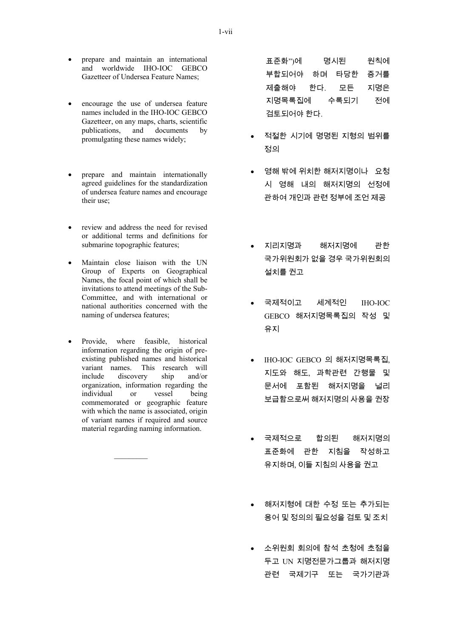- prepare and maintain an international and worldwide IHO-IOC GEBCO Gazetteer of Undersea Feature Names;
- encourage the use of undersea feature names included in the IHO-IOC GEBCO Gazetteer, on any maps, charts, scientific publications, and documents by promulgating these names widely;
- prepare and maintain internationally agreed guidelines for the standardization of undersea feature names and encourage their use;
- review and address the need for revised or additional terms and definitions for submarine topographic features;
- Maintain close liaison with the UN Group of Experts on Geographical Names, the focal point of which shall be invitations to attend meetings of the Sub-Committee, and with international or national authorities concerned with the naming of undersea features;
- Provide, where feasible, historical information regarding the origin of preexisting published names and historical variant names. This research will include discovery ship and/or organization, information regarding the individual or vessel being commemorated or geographic feature with which the name is associated, origin of variant names if required and source material regarding naming information.

표준화")에 명시된 원칙에 부합되어야 하며 타당한 증거를 제출해야 한다. 모든 지명은 지명목록집에 수록되기 전에 검토되어야 한다.

- 적절한 시기에 명명된 지형의 범위를 정의
- 영해 밖에 위치한 해저지명이나 요청 시 영해 내의 해저지명의 선정에 관하여 개인과 관련 정부에 조언 제공
- 지리지명과 해저지명에 관한 국가위원회가 없을 경우 국가위원회의 설치를 권고
- 국제적이고 세계적인 IHO-IOC GEBCO 해저지명목록집의 작성 및 유지
- IHO-IOC GEBCO 의 해저지명목록집, 지도와 해도, 과학관련 간행물 및 문서에 포함된 해저지명을 널리 보급함으로써 해저지명의 사용을 권장
- 국제적으로 합의된 해저지명의 표준화에 관한 지침을 작성하고 유지하며, 이들 지침의 사용을 권고
- 해저지형에 대한 수정 또는 추가되는 용어 및 정의의 필요성을 검토 및 조치
- 소위원회 회의에 참석 초청에 초점을 두고 UN 지명전문가그룹과 해저지명 관련 국제기구 또는 국가기관과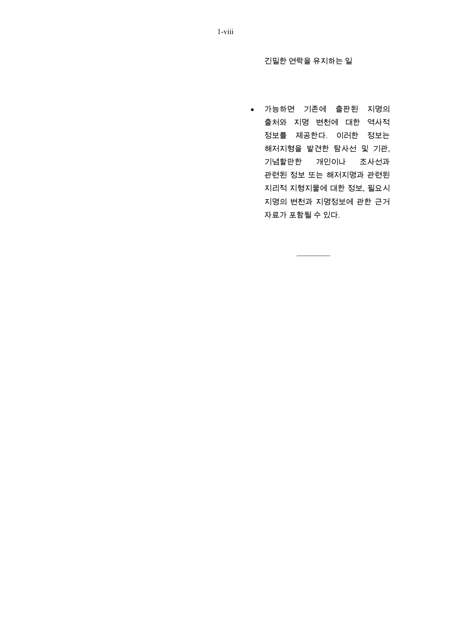긴밀한 연락을 유지하는 일

• 가능하면 기존에 출판된 지명의 출처와 지명 변천에 대한 역사적 정보를 제공한다. 이러한 정보는 해저지형을 발견한 탐사선 및 기관, 기념할만한 개인이나 조사선과 관련된 정보 또는 해저지명과 관련된 지리적 지형지물에 대한 정보, 필요시 지명의 변천과 지명정보에 관한 근거 자료가 포함될 수 있다.

1-viii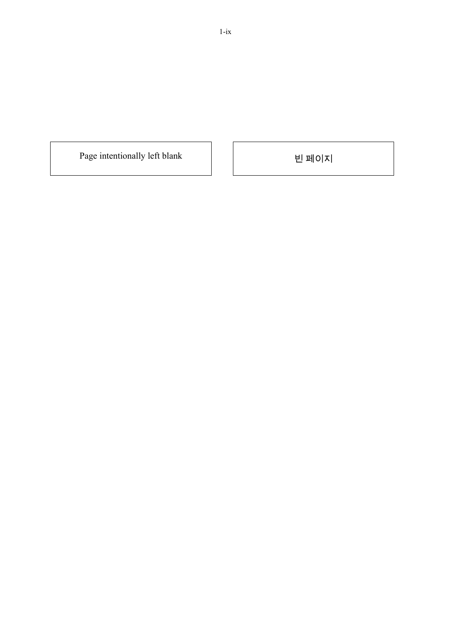Page intentionally left blank 빈 페이지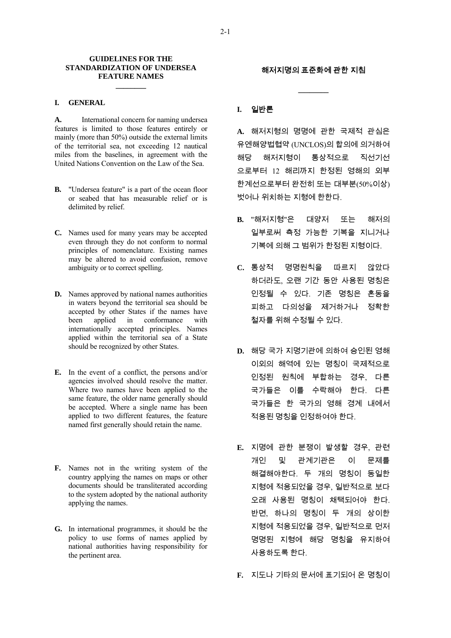#### **GUIDELINES FOR THE STANDARDIZATION OF UNDERSEA FEATURE NAMES**

**\_\_\_\_\_\_\_\_** 

#### **I. GENERAL**

**A.** International concern for naming undersea features is limited to those features entirely or mainly (more than 50%) outside the external limits of the territorial sea, not exceeding 12 nautical miles from the baselines, in agreement with the United Nations Convention on the Law of the Sea.

- **B.** "Undersea feature" is a part of the ocean floor or seabed that has measurable relief or is delimited by relief.
- **C.** Names used for many years may be accepted even through they do not conform to normal principles of nomenclature. Existing names may be altered to avoid confusion, remove ambiguity or to correct spelling.
- **D.** Names approved by national names authorities in waters beyond the territorial sea should be accepted by other States if the names have been applied in conformance with internationally accepted principles. Names applied within the territorial sea of a State should be recognized by other States.
- **E.** In the event of a conflict, the persons and/or agencies involved should resolve the matter. Where two names have been applied to the same feature, the older name generally should be accepted. Where a single name has been applied to two different features, the feature named first generally should retain the name.
- **F.** Names not in the writing system of the country applying the names on maps or other documents should be transliterated according to the system adopted by the national authority applying the names.
- **G.** In international programmes, it should be the policy to use forms of names applied by national authorities having responsibility for the pertinent area.

### 해저지명의 표준화에 관한 지침

**\_\_\_\_\_\_\_\_** 

### **I.** 일반론

**A.** 해저지형의 명명에 관한 국제적 관심은 유엔해양법협약 (UNCLOS)의 합의에 의거하여 해당 해저지형이 통상적으로 직선기선 으로부터 12 해리까지 한정된 영해의 외부 한계선으로부터 완전히 또는 대부분(50%이상) 벗어나 위치하는 지형에 한한다.

- **B.** "해저지형"은 대양저 또는 해저의 일부로써 측정 가능한 기복을 지니거나 기복에 의해 그 범위가 한정된 지형이다.
- **C.** 통상적 명명원칙을 따르지 않았다 하더라도, 오랜 기간 동안 사용된 명칭은 인정될 수 있다. 기존 명칭은 혼동을 피하고 다의성을 제거하거나 정확한 철자를 위해 수정될 수 있다.
- **D.** 해당 국가 지명기관에 의하여 승인된 영해 이외의 해역에 있는 명칭이 국제적으로 인정된 원칙에 부합하는 경우, 다른 국가들은 이를 수락해야 한다. 다른 국가들은 한 국가의 영해 경계 내에서 적용된 명칭을 인정하여야 한다.
- **E.** 지명에 관한 분쟁이 발생할 경우, 관련 개인 및 관계기관은 이 문제를 해결해야한다. 두 개의 명칭이 동일한 지형에 적용되었을 경우, 일반적으로 보다 오래 사용된 명칭이 채택되어야 한다. 반면, 하나의 명칭이 두 개의 상이한 지형에 적용되었을 경우, 일반적으로 먼저 명명된 지형에 해당 명칭을 유지하여 사용하도록 한다.
- **F.** 지도나 기타의 문서에 표기되어 온 명칭이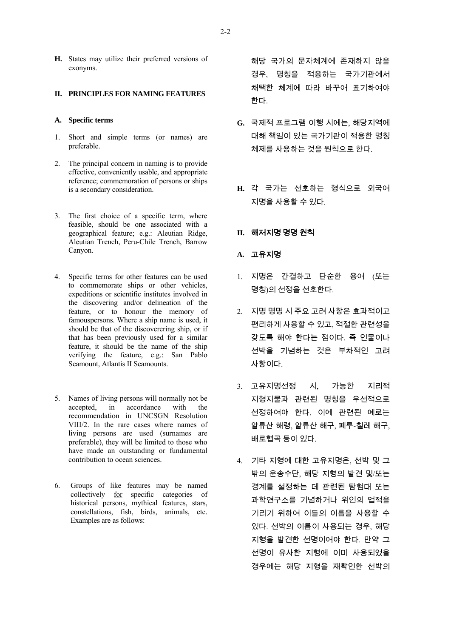**H.** States may utilize their preferred versions of exonyms.

#### **II. PRINCIPLES FOR NAMING FEATURES**

#### **A. Specific terms**

- 1. Short and simple terms (or names) are preferable.
- 2. The principal concern in naming is to provide effective, conveniently usable, and appropriate reference; commemoration of persons or ships is a secondary consideration.
- 3. The first choice of a specific term, where feasible, should be one associated with a geographical feature; e.g.: Aleutian Ridge, Aleutian Trench, Peru-Chile Trench, Barrow Canyon.
- 4. Specific terms for other features can be used to commemorate ships or other vehicles, expeditions or scientific institutes involved in the discovering and/or delineation of the feature, or to honour the memory of famouspersons. Where a ship name is used, it should be that of the discoverering ship, or if that has been previously used for a similar feature, it should be the name of the ship verifying the feature, e.g.: San Pablo Seamount, Atlantis II Seamounts.
- 5. Names of living persons will normally not be accepted, in accordance with the recommendation in UNCSGN Resolution VIII/2. In the rare cases where names of living persons are used (surnames are preferable), they will be limited to those who have made an outstanding or fundamental contribution to ocean sciences.
- 6. Groups of like features may be named collectively for specific categories of historical persons, mythical features, stars, constellations, fish, birds, animals, etc. Examples are as follows:

해당 국가의 문자체계에 존재하지 않을 경우, 명칭을 적용하는 국가기관에서 채택한 체계에 따라 바꾸어 표기하여야 한다.

- **G.** 국제적 프로그램 이행 시에는, 해당지역에 대해 책임이 있는 국가기관이 적용한 명칭 체제를 사용하는 것을 원칙으로 한다.
- **H.** 각 국가는 선호하는 형식으로 외국어 지명을 사용할 수 있다.

### **II.** 해저지명 명명 원칙

#### **A.** 고유지명

- 1. 지명은 간결하고 단순한 용어 (또는 명칭)의 선정을 선호한다.
- 2. 지명 명명 시 주요 고려 사항은 효과적이고 편리하게 사용할 수 있고, 적절한 관련성을 갖도록 해야 한다는 점이다. 즉 인물이나 선박을 기념하는 것은 부차적인 고려 사항이다.
- 3. 고유지명선정 시, 가능한 지리적 지형지물과 관련된 명칭을 우선적으로 선정하여야 한다. 이에 관련된 예로는 알류산 해령, 알류산 해구, 페루-칠레 해구, 배로협곡 등이 있다.
- 4. 기타 지형에 대한 고유지명은, 선박 및 그 밖의 운송수단, 해당 지형의 발견 및/또는 경계를 설정하는 데 관련된 탐험대 또는 과학연구소를 기념하거나 위인의 업적을 기리기 위하여 이들의 이름을 사용할 수 있다. 선박의 이름이 사용되는 경우, 해당 지형을 발견한 선명이어야 한다. 만약 그 선명이 유사한 지형에 이미 사용되었을 경우에는 해당 지형을 재확인한 선박의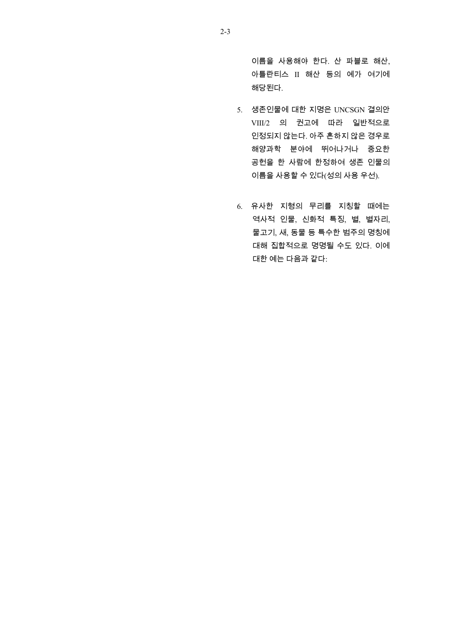이름을 사용해야 한다. 산 파블로 해산, 아틀란티스 II 해산 등의 예가 여기에 해당된다.

- 5. 생존인물에 대한 지명은 UNCSGN 결의안 VIII/2 의 권고에 따라 일반적으로 인정되지 않는다. 아주 흔하지 않은 경우로 해양과학 분야에 뛰어나거나 중요한 공헌을 한 사람에 한정하여 생존 인물의 이름을 사용할 수 있다(성의 사용 우선).
- 6. 유사한 지형의 무리를 지칭할 때에는 역사적 인물, 신화적 특징, 별, 별자리, 물고기, 새, 동물 등 특수한 범주의 명칭에 대해 집합적으로 명명될 수도 있다. 이에 대한 예는 다음과 같다: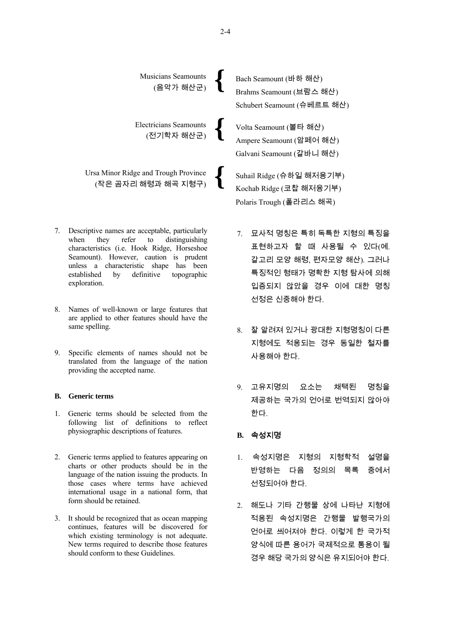

- 7. Descriptive names are acceptable, particularly when they refer to distinguishing characteristics (i.e. Hook Ridge, Horseshoe Seamount). However, caution is prudent unless a characteristic shape has been established by definitive topographic exploration.
- 8. Names of well-known or large features that are applied to other features should have the same spelling.
- 9. Specific elements of names should not be translated from the language of the nation providing the accepted name.

#### **B. Generic terms**

- 1. Generic terms should be selected from the following list of definitions to reflect physiographic descriptions of features.
- 2. Generic terms applied to features appearing on charts or other products should be in the language of the nation issuing the products. In those cases where terms have achieved international usage in a national form, that form should be retained.
- 3. It should be recognized that as ocean mapping continues, features will be discovered for which existing terminology is not adequate. New terms required to describe those features should conform to these Guidelines.
- 7. 묘사적 명칭은 특히 독특한 지형의 특징을 표현하고자 할 때 사용될 수 있다(예. 갈고리 모양 해령, 편자모양 해산). 그러나 특징적인 형태가 명확한 지형 탐사에 의해 입증되지 않았을 경우 이에 대한 명칭 선정은 신중해야 한다.
- 8. 잘 알려져 있거나 광대한 지형명칭이 다른 지형에도 적용되는 경우 동일한 철자를 사용해야 한다.
- 9. 고유지명의 요소는 채택된 명칭을 제공하는 국가의 언어로 번역되지 않아야 한다.

### **B.** 속성지명

- 1. 속성지명은 지형의 지형학적 설명을 반영하는 다음 정의의 목록 중에서 선정되어야 한다.
- 2. 해도나 기타 간행물 상에 나타난 지형에 적용된 속성지명은 간행물 발행국가의 언어로 씌어져야 한다. 이렇게 한 국가적 양식에 따른 용어가 국제적으로 통용이 될 경우 해당 국가의 양식은 유지되어야 한다.

2-4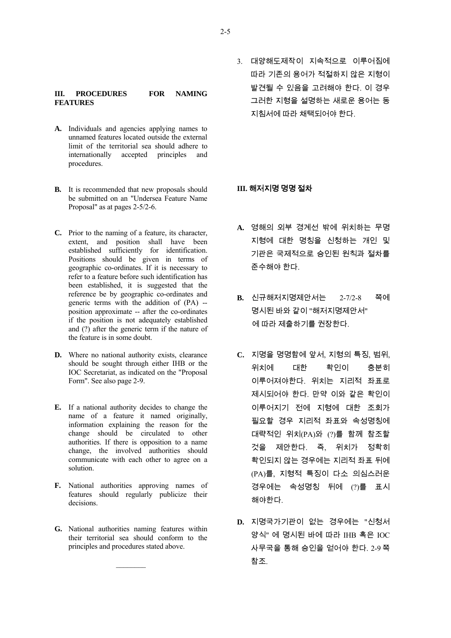#### **III. PROCEDURES FOR NAMING FEATURES**

- **A.** Individuals and agencies applying names to unnamed features located outside the external limit of the territorial sea should adhere to internationally accepted principles and procedures.
- **B.** It is recommended that new proposals should be submitted on an "Undersea Feature Name Proposal" as at pages 2-5/2-6.
- **C.** Prior to the naming of a feature, its character, extent, and position shall have been established sufficiently for identification. Positions should be given in terms of geographic co-ordinates. If it is necessary to refer to a feature before such identification has been established, it is suggested that the reference be by geographic co-ordinates and generic terms with the addition of (PA) - position approximate -- after the co-ordinates if the position is not adequately established and (?) after the generic term if the nature of the feature is in some doubt.
- **D.** Where no national authority exists, clearance should be sought through either IHB or the IOC Secretariat, as indicated on the "Proposal Form". See also page 2-9.
- **E.** If a national authority decides to change the name of a feature it named originally, information explaining the reason for the change should be circulated to other authorities. If there is opposition to a name change, the involved authorities should communicate with each other to agree on a solution.
- **F.** National authorities approving names of features should regularly publicize their decisions.
- **G.** National authorities naming features within their territorial sea should conform to the principles and procedures stated above.

 $\mathcal{L}=\mathcal{L}$ 

3. 대양해도제작이 지속적으로 이루어짐에 따라 기존의 용어가 적절하지 않은 지형이 발견될 수 있음을 고려해야 한다. 이 경우 그러한 지형을 설명하는 새로운 용어는 동 지침서에 따라 채택되어야 한다.

### **III.** 해저지명 명명 절차

- **A.** 영해의 외부 경계선 밖에 위치하는 무명 지형에 대한 명칭을 신청하는 개인 및 기관은 국제적으로 승인된 원칙과 절차를 준수해야 한다.
- **B.** 신규해저지명제안서는 2-7/2-8 쪽에 명시된 바와 같이 "해저지명제안서" 에 따라 제출하기를 권장한다.
- **C.** 지명을 명명함에 앞서, 지형의 특징, 범위, 위치에 대한 확인이 충분히 이루어져야한다. 위치는 지리적 좌표로 제시되어야 한다. 만약 이와 같은 확인이 이루어지기 전에 지형에 대한 조회가 필요할 경우 지리적 좌표와 속성명칭에 대략적인 위치(PA)와 (?)를 함께 참조할 것을 제안한다. 즉, 위치가 정확히 확인되지 않는 경우에는 지리적 좌표 뒤에 (PA)를, 지형적 특징이 다소 의심스러운 경우에는 속성명칭 뒤에 (?)를 표시 해야한다.
- **D.** 지명국가기관이 없는 경우에는 "신청서 양식" 에 명시된 바에 따라 IHB 혹은 IOC 사무국을 통해 승인을 얻어야 한다. 2-9 쪽 참조.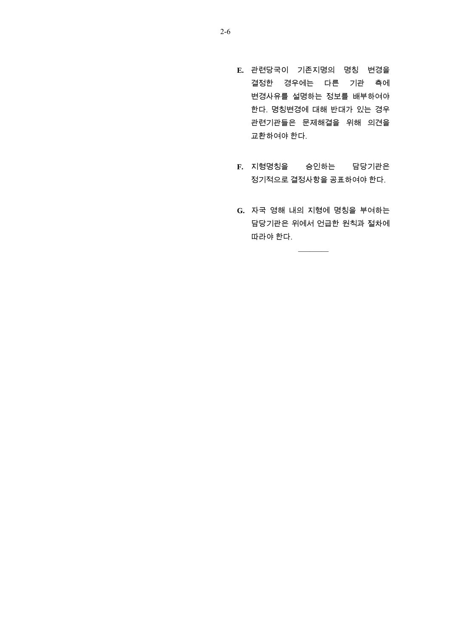- **E.** 관련당국이 기존지명의 명칭 변경을 결정한 경우에는 다른 기관 측에 변경사유를 설명하는 정보를 배부하여야 한다. 명칭변경에 대해 반대가 있는 경우 관련기관들은 문제해결을 위해 의견을 교환하여야 한다.
- **F.** 지형명칭을 승인하는 담당기관은 정기적으로 결정사항을 공표하여야 한다.
- **G.** 자국 영해 내의 지형에 명칭을 부여하는 담당기관은 위에서 언급한 원칙과 절차에 따라야 한다.

 $\frac{1}{2}$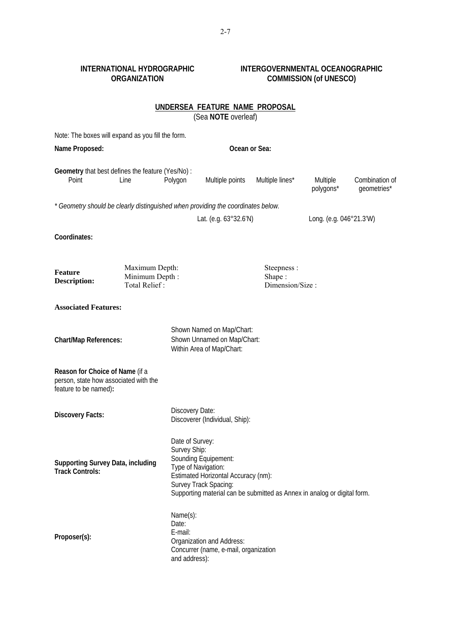### **INTERNATIONAL HYDROGRAPHIC ORGANIZATION**

### **INTERGOVERNMENTAL OCEANOGRAPHIC COMMISSION (of UNESCO)**

|                                                                                                   |                                                   |                                               | <u>UNDERSEA FEATURE NAME PROPOSAL</u><br>(Sea NOTE overleaf)                                                                                                                                                               |                 |                       |                               |  |
|---------------------------------------------------------------------------------------------------|---------------------------------------------------|-----------------------------------------------|----------------------------------------------------------------------------------------------------------------------------------------------------------------------------------------------------------------------------|-----------------|-----------------------|-------------------------------|--|
| Note: The boxes will expand as you fill the form.                                                 |                                                   |                                               |                                                                                                                                                                                                                            |                 |                       |                               |  |
| Name Proposed:                                                                                    |                                                   |                                               |                                                                                                                                                                                                                            | Ocean or Sea:   |                       |                               |  |
| Geometry that best defines the feature (Yes/No) :<br>Point<br>Line                                |                                                   | Polygon                                       | Multiple points                                                                                                                                                                                                            | Multiple lines* | Multiple<br>polygons* | Combination of<br>geometries* |  |
| * Geometry should be clearly distinguished when providing the coordinates below.                  |                                                   |                                               |                                                                                                                                                                                                                            |                 |                       |                               |  |
|                                                                                                   |                                                   |                                               | Lat. (e.g. $63^{\circ}32.6'$ N)                                                                                                                                                                                            |                 |                       | Long. (e.g. 046°21.3'W)       |  |
| Coordinates:                                                                                      |                                                   |                                               |                                                                                                                                                                                                                            |                 |                       |                               |  |
| <b>Feature</b><br><b>Description:</b>                                                             | Maximum Depth:<br>Minimum Depth:<br>Total Relief: |                                               | Steepness:<br>Shape:<br>Dimension/Size:                                                                                                                                                                                    |                 |                       |                               |  |
| <b>Associated Features:</b>                                                                       |                                                   |                                               |                                                                                                                                                                                                                            |                 |                       |                               |  |
| <b>Chart/Map References:</b>                                                                      |                                                   |                                               | Shown Named on Map/Chart:<br>Shown Unnamed on Map/Chart:<br>Within Area of Map/Chart:                                                                                                                                      |                 |                       |                               |  |
| Reason for Choice of Name (if a<br>person, state how associated with the<br>feature to be named): |                                                   |                                               |                                                                                                                                                                                                                            |                 |                       |                               |  |
| <b>Discovery Facts:</b>                                                                           |                                                   |                                               | Discovery Date:<br>Discoverer (Individual, Ship):                                                                                                                                                                          |                 |                       |                               |  |
| <b>Supporting Survey Data, including</b><br><b>Track Controls:</b>                                |                                                   |                                               | Date of Survey:<br>Survey Ship:<br>Sounding Equipement:<br>Type of Navigation:<br>Estimated Horizontal Accuracy (nm):<br>Survey Track Spacing:<br>Supporting material can be submitted as Annex in analog or digital form. |                 |                       |                               |  |
| Proposer(s):                                                                                      |                                                   | Name(s):<br>Date:<br>E-mail:<br>and address): | Organization and Address:<br>Concurrer (name, e-mail, organization                                                                                                                                                         |                 |                       |                               |  |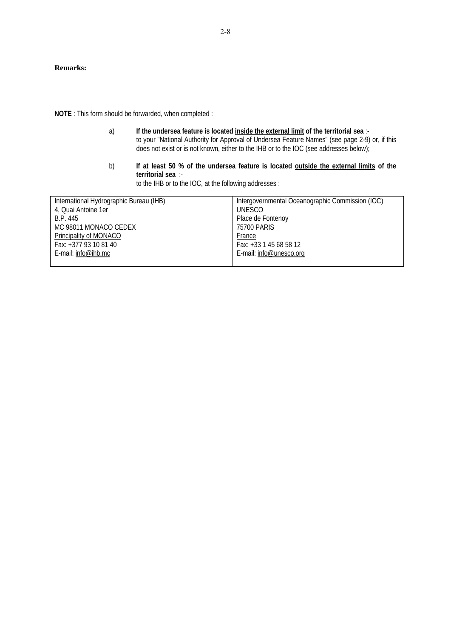#### **Remarks:**

**NOTE** : This form should be forwarded, when completed :

- a) **If the undersea feature is located inside the external limit of the territorial sea** : to your "National Authority for Approval of Undersea Feature Names" (see page 2-9) or, if this does not exist or is not known, either to the IHB or to the IOC (see addresses below);
- b) If at least 50 % of the undersea feature is located outside the external limits of the **territorial sea** : to the IHB or to the IOC, at the following addresses :

| International Hydrographic Bureau (IHB) | Intergovernmental Oceanographic Commission (IOC) |
|-----------------------------------------|--------------------------------------------------|
| 4, Quai Antoine 1er                     | UNESCO                                           |
| B.P. 445                                | Place de Fontenoy                                |
| MC 98011 MONACO CEDEX                   | 75700 PARIS                                      |
| Principality of MONACO                  | France                                           |
| Fax: +377 93 10 81 40                   | Fax: +33 1 45 68 58 12                           |
| E-mail: info@ihb.mc                     | E-mail: info@unesco.org                          |
|                                         |                                                  |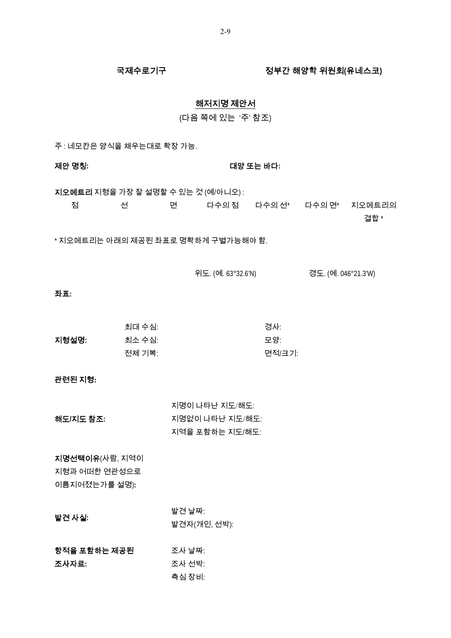### 국제수로기구 정부간 해양학 위원회**(**유네스코**)**

### 해저지명 제안서

(다음 쪽에 있는 '주' 참조)

주 : 네모칸은 양식을 채우는대로 확장 가능.

제안 명칭**:** 대양 또는 바다**:**

지오메트리 지형을 가장 잘 설명할 수 있는 것 (예/아니오) : 점 선 면 다수의 점 다수의 선\* 다수의 면\* 지오메트리의

결합 \*

\* 지오메트리는 아래의 제공된 좌표로 명확하게 구별가능해야 함.

위도. (예. 63°32.6'N) 경도. (예. 046°21.3'W)

### 좌표**:**

|       | 최대 수심: | 경사:    |
|-------|--------|--------|
| 지형설명: | 최소 수심: | 모양:    |
|       | 전체 기복: | 면적/크기: |

### 관련된 지형**:**

|            | 지명이 나타난 지도/해도:  |
|------------|-----------------|
| 해도/지도 참조:- | 지명없이 나타난 지도/해도: |
|            | 지역을 포함하는 지도/해도: |

지명선택이유(사람, 지역이 지형과 어떠한 연관성으로 이름지어졌는가를 설명)**:**

| 발견 사실: | 발견 날짜:       |
|--------|--------------|
|        | 발견자(개인, 선박): |

| 항적을 포함하는 제공된 | 조사 날짜: |
|--------------|--------|
| 조사자료:        | 조사 선박: |
|              | 측심 장비: |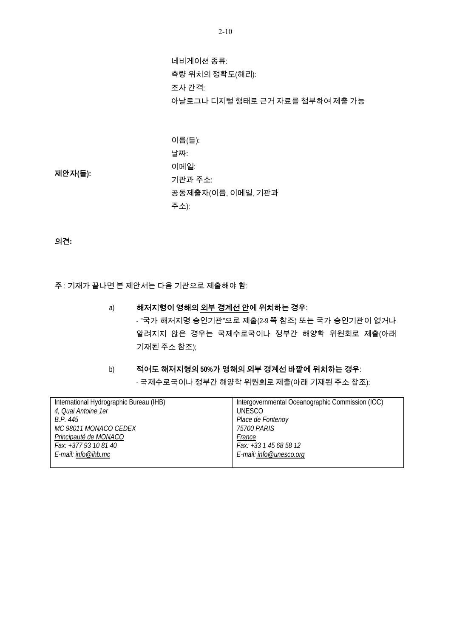네비게이션 종류: 측량 위치의 정확도(해리): 조사 간격: 아날로그나 디지털 형태로 근거 자료를 첨부하여 제출 가능

이름(들): 날짜: 이메일: 기관과 주소: 공동제출자(이름, 이메일, 기관과 주소):

제안자**(**들**):** 

의견**:** 

주 : 기재가 끝나면 본 제안서는 다음 기관으로 제출해야 함:

a) 해저지형이 영해의 외부 경계선 안에 위치하는 경우: - "국가 해저지명 승인기관"으로 제출(2-9 쪽 참조) 또는 국가 승인기관이 없거나 알려지지 않은 경우는 국제수로국이나 정부간 해양학 위원회로 제출(아래 기재된 주소 참조);

b) 적어도 해저지형의 **50%**가 영해의 외부 경계선 바깥에 위치하는 경우:

- 국제수로국이나 정부간 해양학 위원회로 제출(아래 기재된 주소 참조):

| International Hydrographic Bureau (IHB) | Intergovernmental Oceanographic Commission (IOC) |
|-----------------------------------------|--------------------------------------------------|
| 4, Quai Antoine 1er                     | UNESCO                                           |
| B.P. 445                                | Place de Fontenoy                                |
| MC 98011 MONACO CEDEX                   | <i>75700 PARIS</i>                               |
| Principauté de MONACO                   | France                                           |
| Fax: +377 93 10 81 40                   | Fax: +33 1 45 68 58 12                           |
| E-mail: info@ihb.mc                     | E-mail: info@unesco.org                          |
|                                         |                                                  |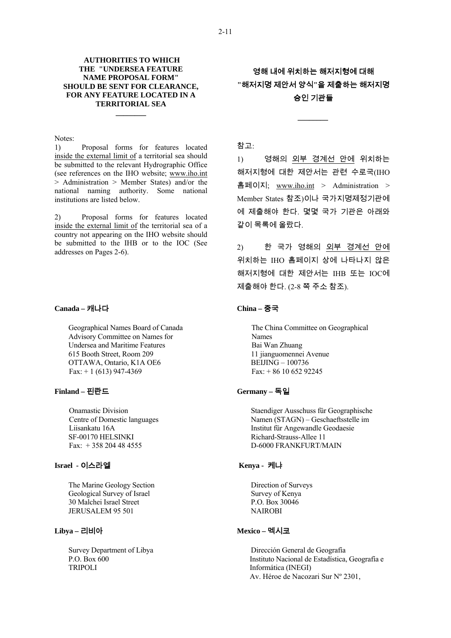#### **AUTHORITIES TO WHICH THE "UNDERSEA FEATURE NAME PROPOSAL FORM" SHOULD BE SENT FOR CLEARANCE, FOR ANY FEATURE LOCATED IN A TERRITORIAL SEA**

**\_\_\_\_\_\_\_\_** 

Notes:

1) Proposal forms for features located inside the external limit of a territorial sea should be submitted to the relevant Hydrographic Office (see references on the IHO website; [www.iho.int](http://www.iho.int/) > Administration > Member States) and/or the national naming authority. Some national institutions are listed below.

2) Proposal forms for features located inside the external limit of the territorial sea of a country not appearing on the IHO website should be submitted to the IHB or to the IOC (See addresses on Pages 2-6).

#### **Canada –** 캐나다

 Geographical Names Board of Canada Advisory Committee on Names for Undersea and Maritime Features 615 Booth Street, Room 209 OTTAWA, Ontario, K1A OE6  $Fax: + 1$  (613) 947-4369

#### **Finland –** 핀란드

 Onamastic Division Centre of Domestic languages Liisankatu 16A SF-00170 HELSINKI Fax: + 358 204 48 4555

### **Israel -** 이스라엘

 The Marine Geology Section Geological Survey of Israel 30 Malchei Israel Street JERUSALEM 95 501

### **Libya –** 리비아

 Survey Department of Libya P.O. Box 600 TRIPOLI

영해 내에 위치하는 해저지형에 대해 **"**해저지명 제안서 양식**"**을 제출하는 해저지명 승인 기관들

*\_\_\_\_\_\_\_\_* 

#### 참고:

1) 영해의 외부 경계선 안에 위치하는 해저지형에 대한 제안서는 관련 수로국(IHO 홈페이지; [www.iho.int](http://www.iho.int/) > Administration > Member States 참조)이나 국가지명제정기관에 에 제출해야 한다. 몇몇 국가 기관은 아래와 같이 목록에 올랐다.

2) 한 국가 영해의 외부 경계선 안에 위치하는 IHO 홈페이지 상에 나타나지 않은 해저지형에 대한 제안서는 IHB 또는 IOC에 제출해야 한다. (2-8 쪽 주소 참조).

#### **China –** 중국

 The China Committee on Geographical Names Bai Wan Zhuang 11 jianguomennei Avenue BEIJING – 100736  $Fax + 86 10 652 92245$ 

#### **Germany –** 독일

 Staendiger Ausschuss für Geographische Namen (STAGN) – Geschaeftsstelle im Institut für Angewandle Geodaesie Richard-Strauss-Allee 11 D-6000 FRANKFURT/MAIN

#### **Kenya -** 케냐

 Direction of Surveys Survey of Kenya P.O. Box 30046 NAIROBI

#### **Mexico –** 멕시코

 Dirección General de Geografía Instituto Nacional de Estadística, Geografía e Informática (INEGI) Av. Héroe de Nacozari Sur Nº 2301,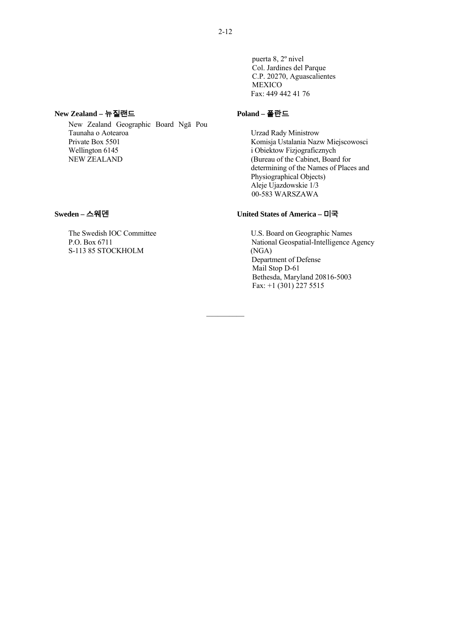puerta 8, 2º nivel Col. Jardines del Parque C.P. 20270, Aguascalientes MEXICO Fax: 449 442 41 76

## **New Zealand –** 뉴질랜드

 New Zealand Geographic Board Ngā Pou Taunaha o Aotearoa Private Box 5501 Wellington 6145 NEW ZEALAND

### **Sweden –** 스웨덴

 The Swedish IOC Committee P.O. Box 6711 S-113 85 STOCKHOLM

#### **Poland –** 폴란드

 Urzad Rady Ministrow Komisja Ustalania Nazw Miejscowosci i Obiektow Fizjograficznych (Bureau of the Cabinet, Board for determining of the Names of Places and Physiographical Objects) Aleje Ujazdowskie 1/3 00-583 WARSZAWA

### **United States of America –** 미국

 U.S. Board on Geographic Names National Geospatial-Intelligence Agency (NGA) Department of Defense Mail Stop D-61 Bethesda, Maryland 20816-5003 Fax: +1 (301) 227 5515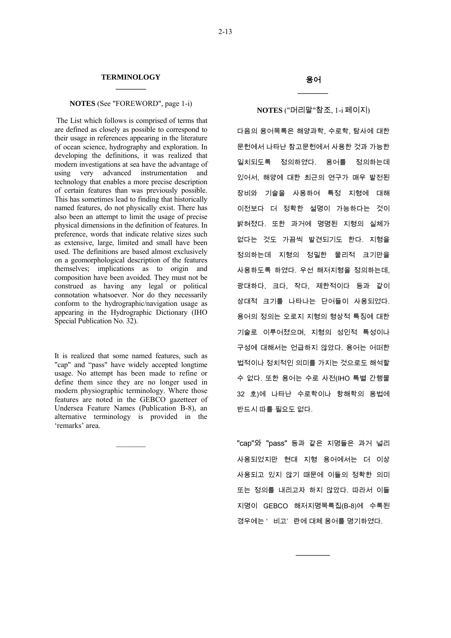#### **NOTES** (See "FOREWORD", page 1-i)

 The List which follows is comprised of terms that are defined as closely as possible to correspond to their usage in references appearing in the literature of ocean science, hydrography and exploration. In developing the definitions, it was realized that modern investigations at sea have the advantage of using very advanced instrumentation and technology that enables a more precise description of certain features than was previously possible. This has sometimes lead to finding that historically named features, do not physically exist. There has also been an attempt to limit the usage of precise physical dimensions in the definition of features. In preference, words that indicate relative sizes such as extensive, large, limited and small have been used. The definitions are based almost exclusively on a geomorphological description of the features themselves; implications as to origin and composition have been avoided. They must not be construed as having any legal or political connotation whatsoever. Nor do they necessarily conform to the hydrographic/navigation usage as appearing in the Hydrographic Dictionary (IHO Special Publication No. 32).

It is realized that some named features, such as "cap" and "pass" have widely accepted longtime usage. No attempt has been made to refine or define them since they are no longer used in modern physiographic terminology. Where those features are noted in the GEBCO gazetteer of Undersea Feature Names (Publication B-8), an alternative terminology is provided in the 'remarks' area*.*

 $\mathcal{L}=\mathcal{L}$ 

#### **NOTES** ("머리말"참조, 1-i 페이지)

다음의 용어목록은 해양과학, 수로학, 탐사에 대한 문헌에서 나타난 참고문헌에서 사용한 것과 가능한 일치되도록 정의하였다. 용어를 정의하는데 있어서, 해양에 대한 최근의 연구가 매우 발전된 장비와 기술을 사용하여 특정 지형에 대해 이전보다 더 정확한 설명이 가능하다는 것이 밝혀졌다. 또한 과거에 명명된 지형의 실체가 없다는 것도 가끔씩 발견되기도 한다. 지형을 정의하는데 지형의 정밀한 물리적 크기만을 사용하도록 하였다. 우선 해저지형을 정의하는데, 광대하다, 크다, 작다, 제한적이다 등과 같이 상대적 크기를 나타나는 단어들이 사용되었다. 용어의 정의는 오로지 지형의 형상적 특징에 대한 기술로 이루어졌으며, 지형의 성인적 특성이나 구성에 대해서는 언급하지 않았다. 용어는 어떠한 법적이나 정치적인 의미를 가지는 것으로도 해석할 수 없다. 또한 용어는 수로 사전(IHO 특별 간행물 32 호)에 나타난 수로학이나 항해학의 용법에 반드시 따를 필요도 없다.

"cap"와 "pass" 등과 같은 지명들은 과거 널리 사용되었지만 현대 지형 용어에서는 더 이상 사용되고 있지 않기 때문에 이들의 정확한 의미 또는 정의를 내리고자 하지 않았다. 따라서 이들 지명이 GEBCO 해저지명목록집(B-8)에 수록된 경우에는 ' 비고' 란에 대체 용어를 명기하였다.

*\_\_\_\_\_\_\_\_\_*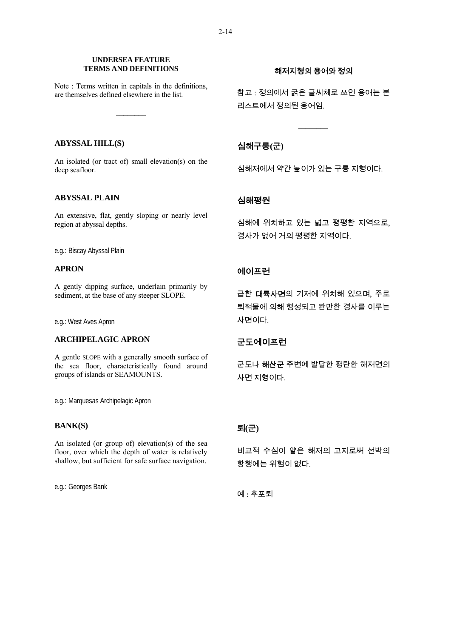#### **UNDERSEA FEATURE TERMS AND DEFINITIONS**

Note : Terms written in capitals in the definitions, are themselves defined elsewhere in the list.

**\_\_\_\_\_\_\_\_** 

#### **ABYSSAL HILL(S)**

An isolated (or tract of) small elevation(s) on the deep seafloor.

### **ABYSSAL PLAIN**

An extensive, flat, gently sloping or nearly level region at abyssal depths.

e.g.: Biscay Abyssal Plain

### **APRON**

A gently dipping surface, underlain primarily by sediment, at the base of any steeper SLOPE.

e.g.: West Aves Apron

### **ARCHIPELAGIC APRON**

A gentle SLOPE with a generally smooth surface of the sea floor, characteristically found around groups of islands or SEAMOUNTS.

e.g.: Marquesas Archipelagic Apron

### **BANK(S)**

An isolated (or group of) elevation(s) of the sea floor, over which the depth of water is relatively shallow, but sufficient for safe surface navigation.

e.g.: Georges Bank

### 해저지형의 용어와 정의

참고 : 정의에서 굵은 글씨체로 쓰인 용어는 본 리스트에서 정의된 용어임.

*\_\_\_\_\_\_\_\_* 

### 심해구릉**(**군**)**

심해저에서 약간 높이가 있는 구릉 지형이다.

### 심해평원

심해에 위치하고 있는 넓고 평평한 지역으로, 경사가 없어 거의 평평한 지역이다.

### 에이프런

급한 대륙사면의 기저에 위치해 있으며, 주로 퇴적물에 의해 형성되고 완만한 경사를 이루는 사면이다.

### 군도에이프런

군도나 해산군 주변에 발달한 평탄한 해저면의 사면 지형이다.

## 퇴**(**군**)**

비교적 수심이 얕은 해저의 고지로써 선박의 항행에는 위험이 없다.

예 : 후포퇴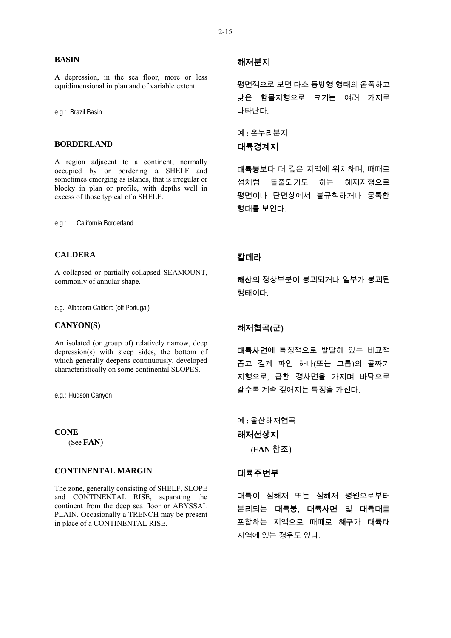#### **BASIN**

A depression, in the sea floor, more or less equidimensional in plan and of variable extent.

e.g.: Brazil Basin

#### **BORDERLAND**

A region adjacent to a continent, normally occupied by or bordering a SHELF and sometimes emerging as islands, that is irregular or blocky in plan or profile, with depths well in excess of those typical of a SHELF.

e.g.: California Borderland

#### **CALDERA**

A collapsed or partially-collapsed SEAMOUNT, commonly of annular shape.

e.g.: Albacora Caldera (off Portugal)

#### **CANYON(S)**

An isolated (or group of) relatively narrow, deep depression(s) with steep sides, the bottom of which generally deepens continuously, developed characteristically on some continental SLOPES.

e.g.: Hudson Canyon

#### **CONE**

(See **FAN**)

### **CONTINENTAL MARGIN**

The zone, generally consisting of SHELF, SLOPE and CONTINENTAL RISE, separating the continent from the deep sea floor or ABYSSAL PLAIN. Occasionally a TRENCH may be present in place of a CONTINENTAL RISE.

### 해저분지

평면적으로 보면 다소 등방형 형태의 움푹하고 낮은 함몰지형으로 크기는 여러 가지로 나타난다.

예 : 온누리분지 대륙경계지

대륙붕보다 더 깊은 지역에 위치하며, 때때로 섬처럼 돌출되기도 하는 해저지형으로 평면이나 단면상에서 불규칙하거나 뭉툭한 형태를 보인다.

### 칼데라

해산의 정상부분이 붕괴되거나 일부가 붕괴된 형태이다.

### 해저협곡**(**군**)**

대륙사면에 특징적으로 발달해 있는 비교적 좁고 깊게 파인 하나(또는 그룹)의 골짜기 지형으로, 급한 경사면을 가지며 바닥으로 갈수록 계속 깊어지는 특징을 가진다.

예 : 울산해저협곡 해저선상지 (**FAN** 참조)

#### 대륙주변부

대륙이 심해저 또는 심해저 평원으로부터 분리되는 대륙붕, 대륙사면 및 대륙대를 포함하는 지역으로 때때로 해구가 대륙대 지역에 있는 경우도 있다.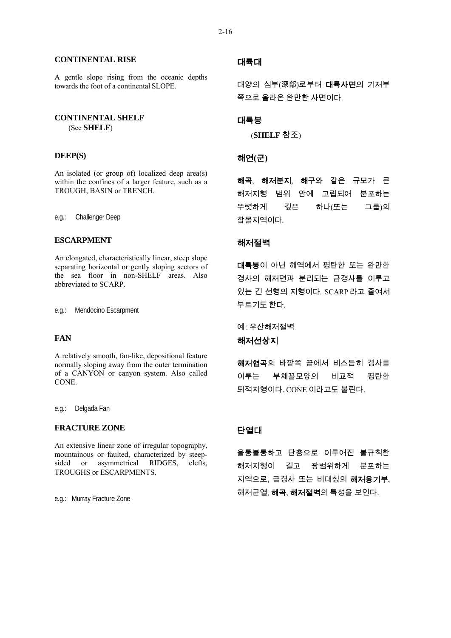**CONTINENTAL RISE**

A gentle slope rising from the oceanic depths towards the foot of a continental SLOPE.

### **CONTINENTAL SHELF**  (See **SHELF**)

### **DEEP(S)**

An isolated (or group of) localized deep area(s) within the confines of a larger feature, such as a TROUGH, BASIN or TRENCH.

e.g.: Challenger Deep

#### **ESCARPMENT**

An elongated, characteristically linear, steep slope separating horizontal or gently sloping sectors of the sea floor in non-SHELF areas. Also abbreviated to SCARP.

e.g.: Mendocino Escarpment

### **FAN**

A relatively smooth, fan-like, depositional feature normally sloping away from the outer termination of a CANYON or canyon system. Also called CONE.

e.g.: Delgada Fan

### **FRACTURE ZONE**

An extensive linear zone of irregular topography, mountainous or faulted, characterized by steepsided or asymmetrical RIDGES, clefts, TROUGHS or ESCARPMENTS.

e.g.: Murray Fracture Zone

### 대륙대

대양의 심부(深部)로부터 대륙사면의 기저부 쪽으로 올라온 완만한 사면이다.

### 대륙붕

(**SHELF** 참조)

### 해연**(**군**)**

해곡, 해저분지, 해구와 같은 규모가 큰 해저지형 범위 안에 고립되어 분포하는 뚜렷하게 깊은 하나(또는 그룹)의 함몰지역이다.

#### 해저절벽

대륙붕이 아닌 해역에서 평탄한 또는 완만한 경사의 해저면과 분리되는 급경사를 이루고 있는 긴 선형의 지형이다. SCARP 라고 줄여서 부르기도 한다.

예 : 우산해저절벽

### 해저선상지

해저협곡의 바깥쪽 끝에서 비스듬히 경사를 이루는 부채꼴모양의 비교적 평탄한 퇴적지형이다. CONE 이라고도 불린다.

### 단열대

울퉁불퉁하고 단층으로 이루어진 불규칙한 해저지형이 길고 광범위하게 분포하는 지역으로, 급경사 또는 비대칭의 해저융기부, 해저균열, **해곡, 해저절벽**의 특성을 보인다.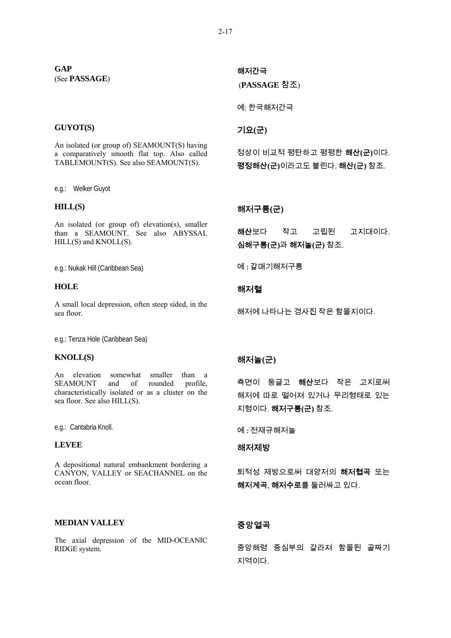#### **GUYOT(S)**

An isolated (or group of) SEAMOUNT(S) having a comparatively smooth flat top. Also called TABLEMOUNT(S). See also SEAMOUNT(S).

e.g.: Welker Guyot

#### **HILL(S)**

An isolated (or group of) elevation(s), smaller than a SEAMOUNT. See also ABYSSAL HILL(S) and KNOLL(S).

e.g.: Nukak Hill (Caribbean Sea)

#### **HOLE**

A small local depression, often steep sided, in the sea floor.

e.g.: Tenza Hole (Caribbean Sea)

### **KNOLL(S)**

An elevation somewhat smaller than a SEAMOUNT and of rounded profile, characteristically isolated or as a cluster on the sea floor. See also HILL(S).

e.g.: Cantabria Knoll.

### **LEVEE**

A depositional natural embankment bordering a CANYON, VALLEY or SEACHANNEL on the ocean floor.

#### **MEDIAN VALLEY**

The axial depression of the MID-OCEANIC RIDGE system.

### 해저간극

(**PASSAGE** 참조)

예: 한국해저간극

### 기요**(**군**)**

정상이 비교적 평탄하고 평평한 해산**(**군**)**이다. 평정해산**(**군**)**이라고도 불린다. 해산**(**군**)** 참조.

#### 해저구릉**(**군**)**

해산보다 작고 고립된 고지대이다. 심해구릉**(**군**)**과 해저놀**(**군**)** 참조.

예 : 갈매기해저구릉

### 해저혈

해저에 나타나는 경사진 작은 함몰지이다.

### 해저놀**(**군**)**

측면이 둥글고 해산보다 작은 고지로써 해저에 따로 떨어져 있거나 무리형태로 있는 지형이다. 해저구릉**(**군**)** 참조.

예 : 전재규해저놀

### 해저제방

퇴적성 제방으로써 대양저의 **해저협곡** 또는 해저계곡, 해저수로를 둘러싸고 있다.

### 중앙열곡

중앙해령 중심부의 갈라져 함몰된 골짜기 지역이다.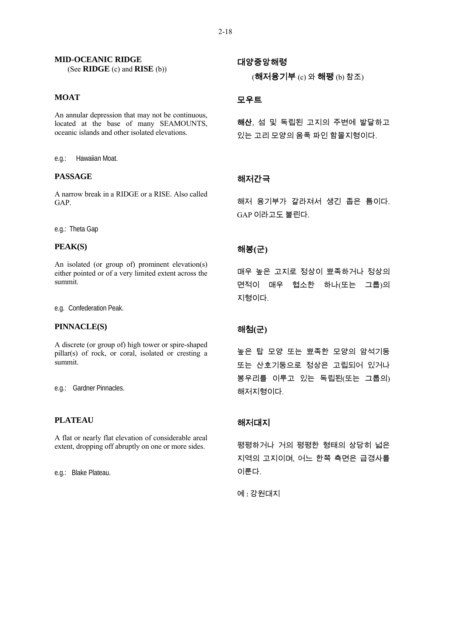### **MID-OCEANIC RIDGE**

(See **RIDGE** (c) and **RISE** (b))

### **MOAT**

An annular depression that may not be continuous, located at the base of many SEAMOUNTS, oceanic islands and other isolated elevations.

e.g.: Hawaiian Moat.

#### **PASSAGE**

A narrow break in a RIDGE or a RISE. Also called GAP.

e.g.: Theta Gap

#### **PEAK(S)**

An isolated (or group of) prominent elevation(s) either pointed or of a very limited extent across the summit.

e.g. Confederation Peak.

#### **PINNACLE(S)**

A discrete (or group of) high tower or spire-shaped pillar(s) of rock, or coral, isolated or cresting a summit.

e.g.: Gardner Pinnacles.

### **PLATEAU**

A flat or nearly flat elevation of considerable areal extent, dropping off abruptly on one or more sides.

e.g.: Blake Plateau.

대양중앙해령 (해저융기부 (c) 와 해팽 (b) 참조)

### 모우트

해산, 섬 및 독립된 고지의 주변에 발달하고 있는 고리 모양의 움푹 파인 함몰지형이다.

### 해저간극

해저 융기부가 갈라져서 생긴 좁은 틈이다. GAP 이라고도 불린다.

### 해봉**(**군**)**

매우 높은 고지로 정상이 뾰족하거나 정상의 면적이 매우 협소한 하나(또는 그룹)의 지형이다.

### 해첨**(**군**)**

높은 탑 모양 또는 뾰족한 모양의 암석기둥 또는 산호기둥으로 정상은 고립되어 있거나 봉우리를 이루고 있는 독립된(또는 그룹의) 해저지형이다.

### 해저대지

평평하거나 거의 평평한 형태의 상당히 넓은 지역의 고지이며, 어느 한쪽 측면은 급경사를 이룬다.

예 : 강원대지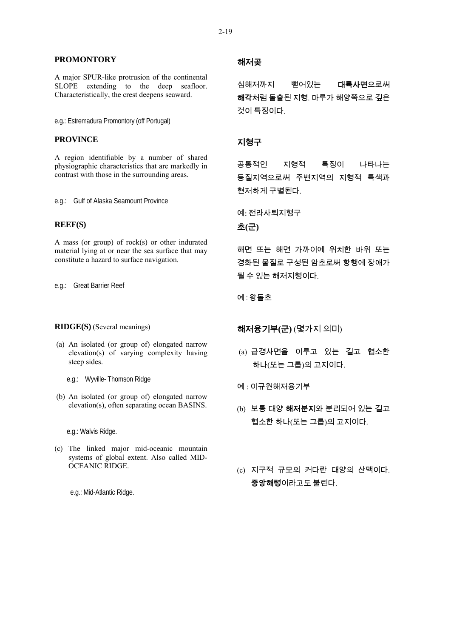#### **PROMONTORY**

A major SPUR-like protrusion of the continental SLOPE extending to the deep seafloor. Characteristically, the crest deepens seaward.

e.g.: Estremadura Promontory (off Portugal)

### **PROVINCE**

A region identifiable by a number of shared physiographic characteristics that are markedly in contrast with those in the surrounding areas.

e.g.: Gulf of Alaska Seamount Province

### **REEF(S)**

A mass (or group) of rock(s) or other indurated material lying at or near the sea surface that may constitute a hazard to surface navigation.

e.g.: Great Barrier Reef

#### **RIDGE(S)** (Several meanings)

- (a) An isolated (or group of) elongated narrow elevation(s) of varying complexity having steep sides.
	- e.g.: Wyville- Thomson Ridge
- (b) An isolated (or group of) elongated narrow elevation(s), often separating ocean BASINS.

e.g.: Walvis Ridge.

(c) The linked major mid-oceanic mountain systems of global extent. Also called MID-OCEANIC RIDGE.

e.g.: Mid-Atlantic Ridge.

### 해저곶

심해저까지 뻗어있는 **대륙사면**으로써 해각처럼 돌출된 지형. 마루가 해양쪽으로 깊은 것이 특징이다.

### 지형구

공통적인 지형적 특징이 나타나는 등질지역으로써 주변지역의 지형적 특색과 현저하게 구별된다.

예: 전라사퇴지형구

초**(**군**)**

해면 또는 해면 가까이에 위치한 바위 또는 경화된 물질로 구성된 암초로써 항행에 장애가 될 수 있는 해저지형이다.

예 : 왕돌초

해저융기부**(**군**)** (몇가지 의미)

- (a) 급경사면을 이루고 있는 길고 협소한 하나(또는 그룹)의 고지이다.
- 예 : 이규원해저융기부
- (b) 보통 대양 해저분지와 분리되어 있는 길고 협소한 하나(또는 그룹)의 고지이다.
- (c) 지구적 규모의 커다란 대양의 산맥이다. 중앙해령이라고도 불린다.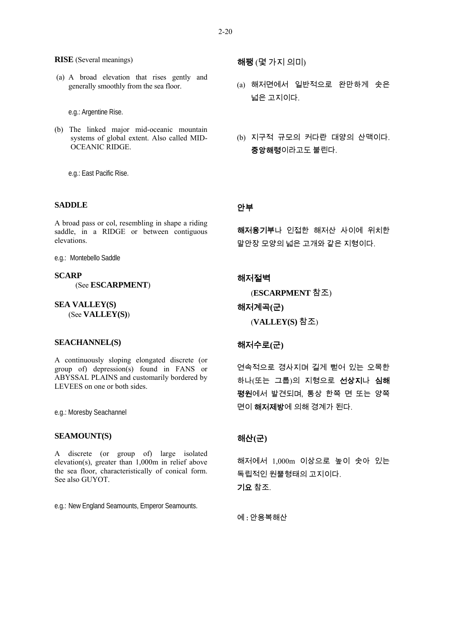#### **RISE** (Several meanings)

 (a) A broad elevation that rises gently and generally smoothly from the sea floor.

e.g.: Argentine Rise.

(b) The linked major mid-oceanic mountain systems of global extent. Also called MID-OCEANIC RIDGE.

e.g.: East Pacific Rise.

#### **SADDLE**

A broad pass or col, resembling in shape a riding saddle, in a RIDGE or between contiguous elevations.

e.g.: Montebello Saddle

**SCARP** (See **ESCARPMENT**)

**SEA VALLEY(S)** (See **VALLEY(S)**)

#### **SEACHANNEL(S)**

A continuously sloping elongated discrete (or group of) depression(s) found in FANS or ABYSSAL PLAINS and customarily bordered by LEVEES on one or both sides.

e.g.: Moresby Seachannel

#### **SEAMOUNT(S)**

A discrete (or group of) large isolated elevation(s), greater than 1,000m in relief above the sea floor, characteristically of conical form. See also GUYOT.

e.g.: New England Seamounts, Emperor Seamounts.

해팽 (몇 가지 의미)

- (a) 해저면에서 일반적으로 완만하게 솟은 넓은 고지이다.
- (b) 지구적 규모의 커다란 대양의 산맥이다. 중앙해령이라고도 불린다.

### 안부

해저융기부나 인접한 해저산 사이에 위치한 말안장 모양의 넓은 고개와 같은 지형이다.

#### 해저절벽

(**ESCARPMENT** 참조)

#### 해저계곡**(**군**)**

(**VALLEY(S)** 참조)

### 해저수로**(**군**)**

연속적으로 경사지며 길게 뻗어 있는 오목한 하나(또는 그룹)의 지형으로 선상지나 심해 평원에서 발견되며, 통상 한쪽 면 또는 양쪽 면이 해저제방에 의해 경계가 된다.

#### 해산**(**군**)**

해저에서 1,000m 이상으로 높이 솟아 있는 독립적인 원뿔형태의 고지이다. 기요 참조.

예 : 안용복해산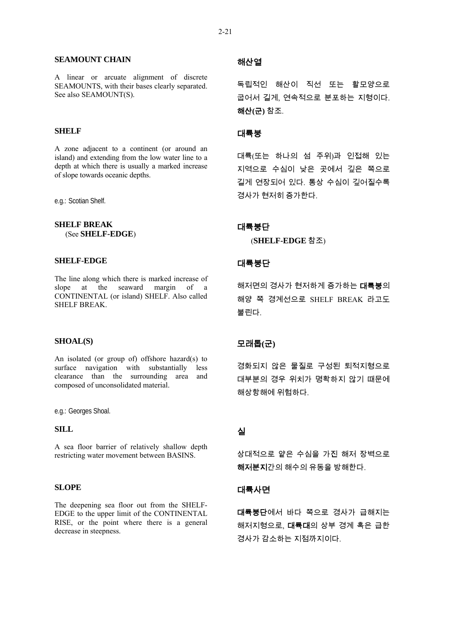#### **SEAMOUNT CHAIN**

A linear or arcuate alignment of discrete SEAMOUNTS, with their bases clearly separated. See also SEAMOUNT(S).

### **SHELF**

A zone adjacent to a continent (or around an island) and extending from the low water line to a depth at which there is usually a marked increase of slope towards oceanic depths.

e.g.: Scotian Shelf.

### **SHELF BREAK**  (See **SHELF-EDGE**)

#### **SHELF-EDGE**

The line along which there is marked increase of slope at the seaward margin of a CONTINENTAL (or island) SHELF. Also called SHELF BREAK.

#### **SHOAL(S)**

An isolated (or group of) offshore hazard(s) to surface navigation with substantially less clearance than the surrounding area and composed of unconsolidated material.

e.g.: Georges Shoal.

### **SILL**

A sea floor barrier of relatively shallow depth restricting water movement between BASINS.

#### **SLOPE**

The deepening sea floor out from the SHELF-EDGE to the upper limit of the CONTINENTAL RISE, or the point where there is a general decrease in steepness.

### 해산열

독립적인 해산이 직선 또는 활모양으로 굽어서 길게, 연속적으로 분포하는 지형이다. 해산**(**군**)** 참조.

### 대륙붕

대륙(또는 하나의 섬 주위)과 인접해 있는 지역으로 수심이 낮은 곳에서 깊은 쪽으로 길게 연장되어 있다. 통상 수심이 깊어질수록 경사가 현저히 증가한다.

#### 대륙붕단

(**SHELF-EDGE** 참조)

### 대륙붕단

해저면의 경사가 현저하게 증가하는 대륙붕의 해양 쪽 경계선으로 SHELF BREAK 라고도 불린다.

### 모래톱**(**군**)**

경화되지 않은 물질로 구성된 퇴적지형으로 대부분의 경우 위치가 명확하지 않기 때문에 해상항해에 위험하다.

### 실

상대적으로 얕은 수심을 가진 해저 장벽으로 해저분지간의 해수의 유동을 방해한다.

### 대륙사면

대륙붕단에서 바다 쪽으로 경사가 급해지는 해저지형으로, **대륙대**의 상부 경계 혹은 급한 경사가 감소하는 지점까지이다.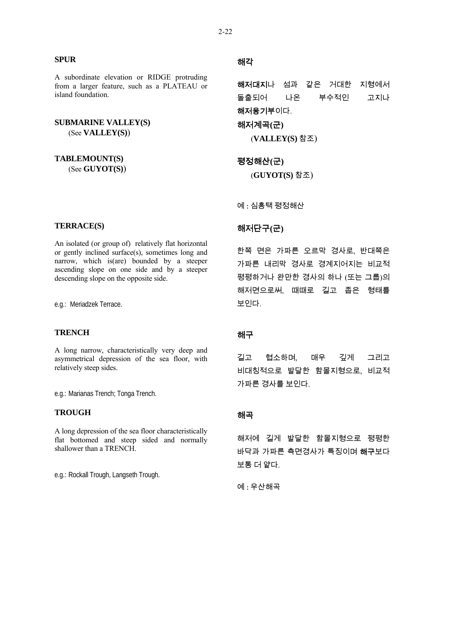#### **SPUR**

A subordinate elevation or RIDGE protruding from a larger feature, such as a PLATEAU or island foundation.

**SUBMARINE VALLEY(S)** (See **VALLEY(S)**)

**TABLEMOUNT(S)**

(See **GUYOT(S)**)

### **TERRACE(S)**

An isolated (or group of) relatively flat horizontal or gently inclined surface(s), sometimes long and narrow, which is(are) bounded by a steeper ascending slope on one side and by a steeper descending slope on the opposite side.

e.g.: Meriadzek Terrace.

#### **TRENCH**

A long narrow, characteristically very deep and asymmetrical depression of the sea floor, with relatively steep sides.

e.g.: Marianas Trench; Tonga Trench.

#### **TROUGH**

A long depression of the sea floor characteristically flat bottomed and steep sided and normally shallower than a TRENCH.

e.g.: Rockall Trough, Langseth Trough.

### 해각

해저대지나 섬과 같은 거대한 지형에서 돌출되어 나온 부수적인 고지나 해저융기부이다.

해저계곡**(**군**)** 

(**VALLEY(S)** 참조)

평정해산**(**군**)**  (**GUYOT(S)** 참조)

예 : 심흥택 평정해산

### 해저단구**(**군**)**

한쪽 면은 가파른 오르막 경사로, 반대쪽은 가파른 내리막 경사로 경계지어지는 비교적 평평하거나 완만한 경사의 하나 (또는 그룹)의 해저면으로써, 때때로 길고 좁은 형태를 보인다.

### 해구

길고 협소하며, 매우 깊게 그리고 비대칭적으로 발달한 함몰지형으로, 비교적 가파른 경사를 보인다.

### 해곡

해저에 길게 발달한 함몰지형으로 평평한 바닥과 가파른 측면경사가 특징이며 해구보다 보통 더 얕다.

 $<sup>9</sup>$  : 우산해곡</sup>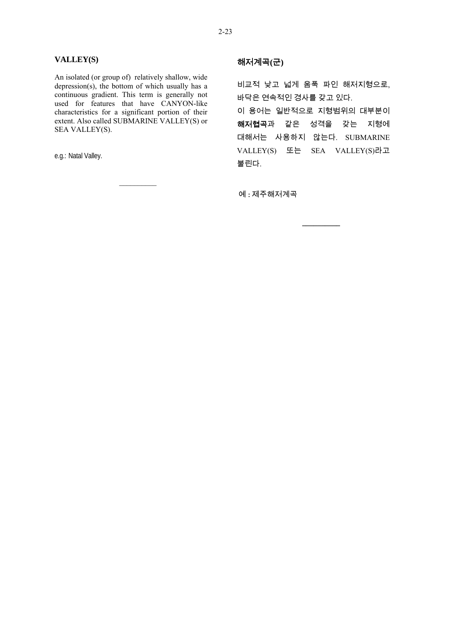#### **VALLEY(S)**

An isolated (or group of) relatively shallow, wide depression(s), the bottom of which usually has a continuous gradient. This term is generally not used for features that have CANYON-like characteristics for a significant portion of their extent. Also called SUBMARINE VALLEY(S) or SEA VALLEY(S).

 $\mathcal{L}_\text{max}$ 

e.g.: Natal Valley.

### 해저계곡**(**군**)**

비교적 낮고 넓게 움푹 파인 해저지형으로, 바닥은 연속적인 경사를 갖고 있다.

이 용어는 일반적으로 지형범위의 대부분이 해저협곡과 같은 성격을 갖는 지형에 대해서는 사용하지 않는다. SUBMARINE VALLEY(S) 또는 SEA VALLEY(S)라고 불린다.

**\_\_\_\_\_\_\_\_\_\_** 

예 : 제주해저계곡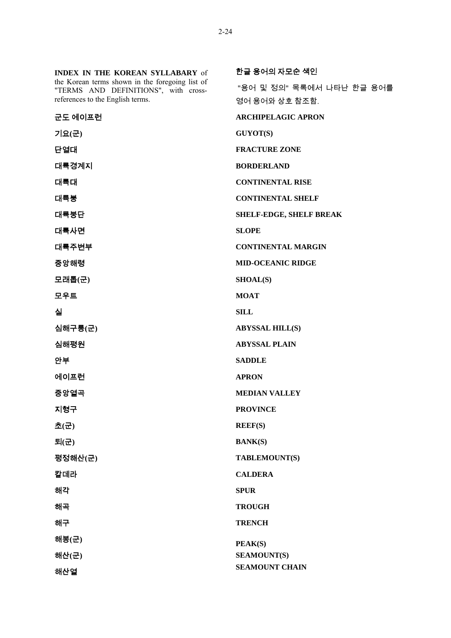**INDEX IN THE KOREAN SYLLABARY** of the Korean terms shown in the foregoing list of "TERMS AND DEFINITIONS", with crossreferences to the English terms.

군도 에이프런 **ARCHIPELAGIC APRON** 기요**(**군**) GUYOT(S)** 단열대 **FRACTURE ZONE** 대륙경계지 **BORDERLAND** 대륙대 **CONTINENTAL RISE** 대륙붕 **CONTINENTAL SHELF** 대륙붕단 **SHELF-EDGE, SHELF BREAK** 대륙사면 **SLOPE** 대륙주변부 **CONTINENTAL MARGIN** 중앙해령 **MID-OCEANIC RIDGE** 모래톱**(**군**) SHOAL(S)** 모우트 **MOAT**  실 **SILL** 심해구릉**(**군**) ABYSSAL HILL(S)** 심해평원 **ABYSSAL PLAIN** 안부 **SADDLE** 에이프런 **APRON** 중앙열곡 **MEDIAN VALLEY** 지형구 **PROVINCE** 초**(**군**) REEF(S)**  퇴**(**군**) BANK(S)**  평정해산**(**군**) TABLEMOUNT(S)**  칼데라 **CALDERA**  해각 **SPUR**  해곡 **TROUGH**  해구 **TRENCH** 해봉**(**군**)**  해산**(**군**)**  해산열 **PEAK(S) SEAMOUNT(S)** 

한글 용어의 자모순 색인 "용어 및 정의" 목록에서 나타난 한글 용어를 영어 용어와 상호 참조함.

**SEAMOUNT CHAIN**